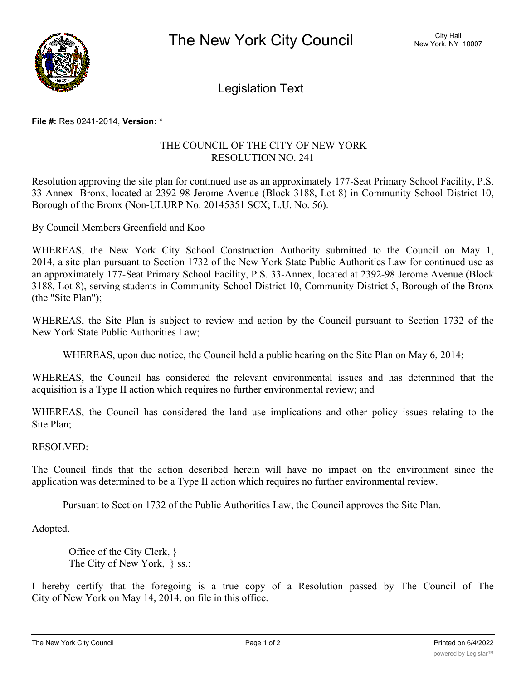

Legislation Text

## **File #:** Res 0241-2014, **Version:** \*

## THE COUNCIL OF THE CITY OF NEW YORK RESOLUTION NO. 241

Resolution approving the site plan for continued use as an approximately 177-Seat Primary School Facility, P.S. 33 Annex- Bronx, located at 2392-98 Jerome Avenue (Block 3188, Lot 8) in Community School District 10, Borough of the Bronx (Non-ULURP No. 20145351 SCX; L.U. No. 56).

By Council Members Greenfield and Koo

WHEREAS, the New York City School Construction Authority submitted to the Council on May 1, 2014, a site plan pursuant to Section 1732 of the New York State Public Authorities Law for continued use as an approximately 177-Seat Primary School Facility, P.S. 33-Annex, located at 2392-98 Jerome Avenue (Block 3188, Lot 8), serving students in Community School District 10, Community District 5, Borough of the Bronx (the "Site Plan");

WHEREAS, the Site Plan is subject to review and action by the Council pursuant to Section 1732 of the New York State Public Authorities Law;

WHEREAS, upon due notice, the Council held a public hearing on the Site Plan on May 6, 2014;

WHEREAS, the Council has considered the relevant environmental issues and has determined that the acquisition is a Type II action which requires no further environmental review; and

WHEREAS, the Council has considered the land use implications and other policy issues relating to the Site Plan;

## RESOLVED:

The Council finds that the action described herein will have no impact on the environment since the application was determined to be a Type II action which requires no further environmental review.

Pursuant to Section 1732 of the Public Authorities Law, the Council approves the Site Plan.

Adopted.

Office of the City Clerk, } The City of New York, } ss.:

I hereby certify that the foregoing is a true copy of a Resolution passed by The Council of The City of New York on May 14, 2014, on file in this office.